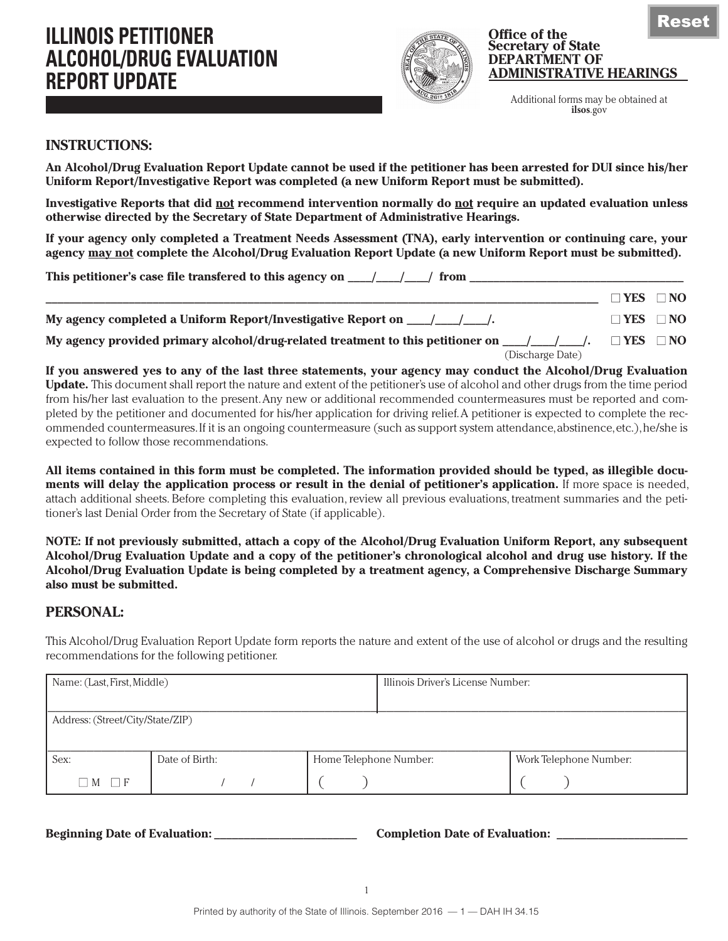

#### **Office of the Secretary of State DEPARTMENT OF ADMINISTRATIVE HEARINGS**

Reset

Additional forms may be obtained at **ilsos**.gov

**\_\_\_\_\_\_\_\_\_\_\_\_\_\_\_\_\_\_\_\_\_\_\_\_\_\_\_\_\_\_\_\_\_\_\_\_\_\_\_\_\_\_\_\_\_\_\_\_\_\_\_\_\_\_\_\_\_\_\_\_\_\_\_\_\_\_\_\_\_\_\_\_\_\_\_\_\_\_\_\_\_\_\_\_\_\_\_\_\_\_\_\_\_ ■ YES ■ NO**

## **INSTRUCTIONS:**

**An Alcohol/Drug Evaluation Report Update cannot be used if the petitioner has been arrested for DUI since his/her Uniform Report/Investigative Report was completed (a new Uniform Report must be submitted).**

**Investigative Reports that did not recommend intervention normally do not require an updated evaluation unless otherwise directed by the Secretary of State Department of Administrative Hearings.**

**If your agency only completed a Treatment Needs Assessment (TNA), early intervention or continuing care, your agency may not complete the Alcohol/Drug Evaluation Report Update (a new Uniform Report must be submitted).**

**This petitioner's case file transfered to this agency on \_\_\_\_/\_\_\_\_/\_\_\_\_/ from \_\_\_\_\_\_\_\_\_\_\_\_\_\_\_\_\_\_\_\_\_\_\_\_\_\_\_\_\_\_\_\_\_\_\_\_**

**My agency completed a Uniform Report/Investigative Report on**  $\Box$  **/**  $\Box$  **/**  $\Box$  **<b>BC**  $\Box$  **NO** 

**My agency provided primary alcohol/drug-related treatment to this petitioner on**  $\_\_\_\_\_\_\_\_\_\_\_\_\_\_\$ **.**  $\_\_\$  **YES**  $\_\_\$  NO (Discharge Date)

**If you answered yes to any of the last three statements, your agency may conduct the Alcohol/Drug Evaluation Update.** This document shall report the nature and extent of the petitioner's use of alcohol and other drugs from the time period from his/her last evaluation to the present. Any new or additional recommended countermeasures must be reported and completed by the petitioner and documented for his/her application for driving relief. A petitioner is expected to complete the recommended countermeasures. If it is an ongoing countermeasure (such as support system attendance, abstinence, etc.), he/she is expected to follow those recommendations.

**All items contained in this form must be completed. The information provided should be typed, as illegible documents will delay the application process or result in the denial of petitioner's application.** If more space is needed, attach additional sheets. Before completing this evaluation, review all previous evaluations, treatment summaries and the petitioner's last Denial Order from the Secretary of State (if applicable).

**NOTE: If not previously submitted, attach a copy of the Alcohol/Drug Evaluation Uniform Report, any subsequent Alcohol/Drug Evaluation Update and a copy of the petitioner's chronological alcohol and drug use history. If the Alcohol/Drug Evaluation Update is being completed by a treatment agency, a Comprehensive Discharge Summary also must be submitted.** 

## **PERSONAL:**

This Alcohol/Drug Evaluation Report Update form reports the nature and extent of the use of alcohol or drugs and the resulting recommendations for the following petitioner.

| Name: (Last, First, Middle)                      |  | Illinois Driver's License Number: |                        |  |  |
|--------------------------------------------------|--|-----------------------------------|------------------------|--|--|
| Address: (Street/City/State/ZIP)                 |  |                                   |                        |  |  |
| Sex:<br>Date of Birth:<br>Home Telephone Number: |  |                                   | Work Telephone Number: |  |  |
| $\Box M \Box F$                                  |  |                                   |                        |  |  |

**Beginning Date of Evaluation: \_\_\_\_\_\_\_\_\_\_\_\_\_\_\_\_\_\_\_\_\_\_\_\_ Completion Date of Evaluation: \_\_\_\_\_\_\_\_\_\_\_\_\_\_\_\_\_\_\_\_\_\_**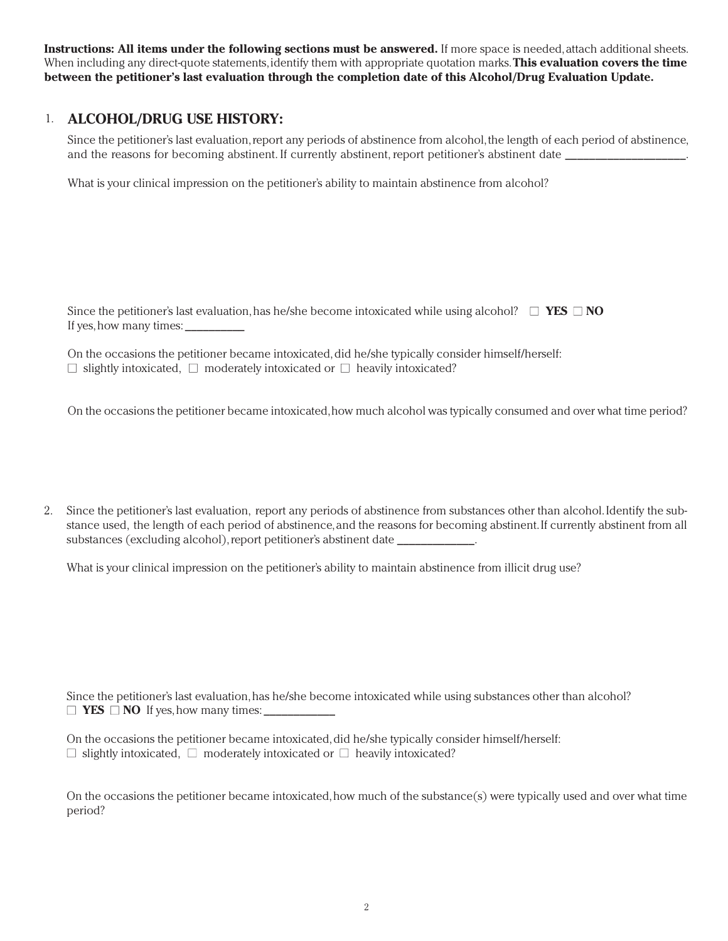**Instructions: All items under the following sections must be answered.** If more space is needed, attach additional sheets. When including any direct-quote statements, identify them with appropriate quotation marks. **This evaluation covers the time between the petitioner's last evaluation through the completion date of this Alcohol/Drug Evaluation Update.**

#### **ALCOHOL/DRUG USE HISTORY:** 1.

Since the petitioner's last evaluation, report any periods of abstinence from alcohol, the length of each period of abstinence, and the reasons for becoming abstinent. If currently abstinent, report petitioner's abstinent date

What is your clinical impression on the petitioner's ability to maintain abstinence from alcohol?

Since the petitioner's last evaluation, has he/she become intoxicated while using alcohol?  $\Box$  **YES**  $\Box$  **NO** If yes, how many times:

On the occasions the petitioner became intoxicated, did he/she typically consider himself/herself: **■** slightly intoxicated, **■** moderately intoxicated or **■** heavily intoxicated?

On the occasions the petitioner became intoxicated, how much alcohol was typically consumed and over what time period?

Since the petitioner's last evaluation, report any periods of abstinence from substances other than alcohol. Identify the substance used, the length of each period of abstinence, and the reasons for becoming abstinent. If currently abstinent from all substances (excluding alcohol), report petitioner's abstinent date \_\_\_\_\_\_\_\_\_\_\_\_\_. 2.

What is your clinical impression on the petitioner's ability to maintain abstinence from illicit drug use?

Since the petitioner's last evaluation, has he/she become intoxicated while using substances other than alcohol?  $\Box$  **YES**  $\Box$  **NO** If yes, how many times:

On the occasions the petitioner became intoxicated, did he/she typically consider himself/herself: **■** slightly intoxicated, **■** moderately intoxicated or **■** heavily intoxicated?

On the occasions the petitioner became intoxicated, how much of the substance(s) were typically used and over what time period?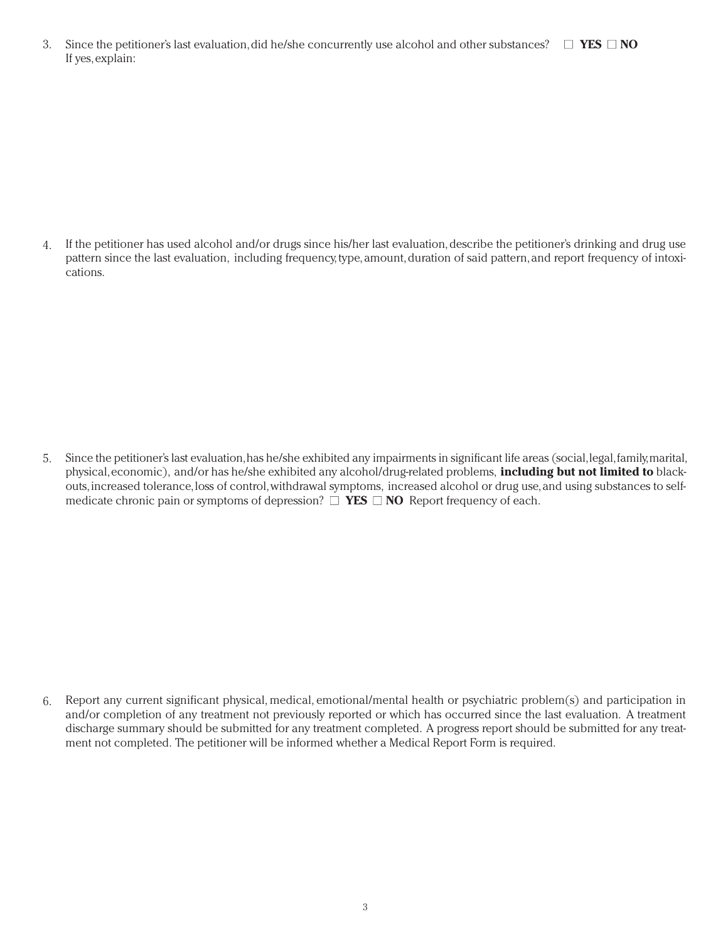Since the petitioner's last evaluation, did he/she concurrently use alcohol and other substances?  $\Box$  **YES**  $\Box$  **NO** If yes, explain: 3.

If the petitioner has used alcohol and/or drugs since his/her last evaluation, describe the petitioner's drinking and drug use pattern since the last evaluation, including frequency, type, amount, duration of said pattern, and report frequency of intoxications. 4.

Since the petitioner's last evaluation, has he/she exhibited any impairments in significant life areas (social, legal, family, marital, physical, economic), and/or has he/she exhibited any alcohol/drug-related problems, **including but not limited to** blackouts, increased tolerance, loss of control, withdrawal symptoms, increased alcohol or drug use, and using substances to selfmedicate chronic pain or symptoms of depression?  $\Box$  **YES**  $\Box$  **NO** Report frequency of each. 5.

Report any current significant physical, medical, emotional/mental health or psychiatric problem(s) and participation in and/or completion of any treatment not previously reported or which has occurred since the last evaluation. A treatment discharge summary should be submitted for any treatment completed. A progress report should be submitted for any treatment not completed. The petitioner will be informed whether a Medical Report Form is required. 6.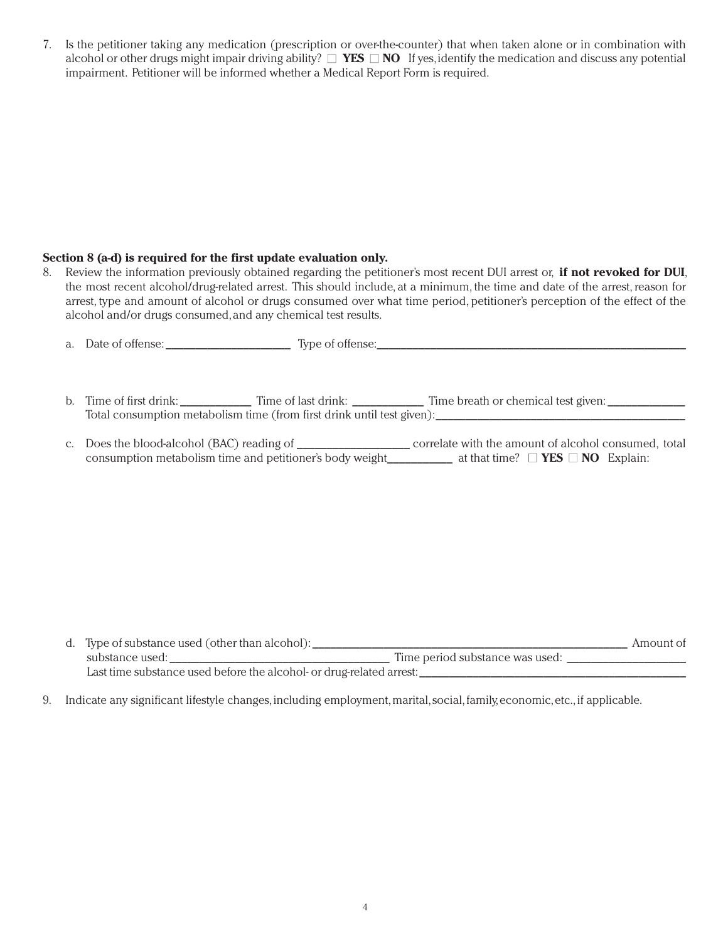Is the petitioner taking any medication (prescription or over-the-counter) that when taken alone or in combination with 7. alcohol or other drugs might impair driving ability? **■ YES ■ NO** If yes, identify the medication and discuss any potential impairment. Petitioner will be informed whether a Medical Report Form is required.

### **Section 8 (a-d) is required for the first update evaluation only.**

Review the information previously obtained regarding the petitioner's most recent DUI arrest or, **if not revoked for DUI**, the most recent alcohol/drug-related arrest. This should include, at a minimum, the time and date of the arrest, reason for arrest, type and amount of alcohol or drugs consumed over what time period, petitioner's perception of the effect of the alcohol and/or drugs consumed, and any chemical test results. 8.

|  | b. Time of first drink: Time of last drink: Time breath or chemical test given:                                                |
|--|--------------------------------------------------------------------------------------------------------------------------------|
|  | Total consumption metabolism time (from first drink until test given):                                                         |
|  |                                                                                                                                |
|  | consumption metabolism time and petitioner's body weight____________ at that time? $\Box$ <b>YES</b> $\Box$ <b>NO</b> Explain: |

| d. Type of substance used (other than alcohol):                      |                                 | Amount of |
|----------------------------------------------------------------------|---------------------------------|-----------|
| substance used:                                                      | Time period substance was used: |           |
| Last time substance used before the alcohol- or drug-related arrest: |                                 |           |

Indicate any significant lifestyle changes, including employment, marital, social, family, economic, etc., if applicable. 9.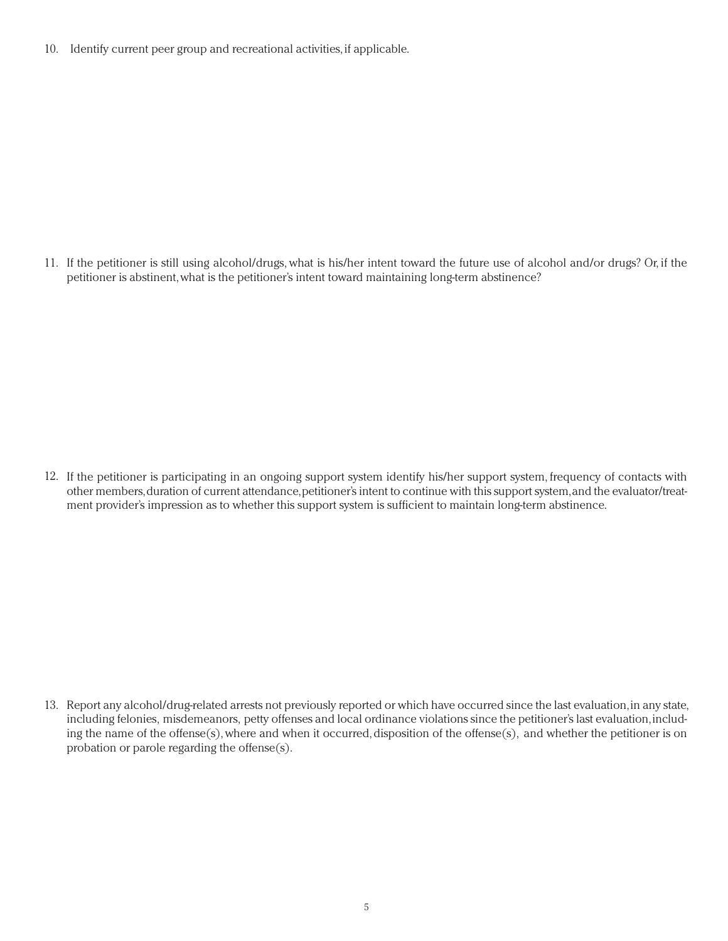Identify current peer group and recreational activities, if applicable. 10.

11. If the petitioner is still using alcohol/drugs, what is his/her intent toward the future use of alcohol and/or drugs? Or, if the petitioner is abstinent, what is the petitioner's intent toward maintaining long-term abstinence?

12. If the petitioner is participating in an ongoing support system identify his/her support system, frequency of contacts with other members, duration of current attendance, petitioner's intent to continue with this support system, and the evaluator/treatment provider's impression as to whether this support system is sufficient to maintain long-term abstinence.

13. Report any alcohol/drug-related arrests not previously reported or which have occurred since the last evaluation, in any state, including felonies, misdemeanors, petty offenses and local ordinance violations since the petitioner's last evaluation, including the name of the offense(s), where and when it occurred, disposition of the offense(s), and whether the petitioner is on probation or parole regarding the offense(s).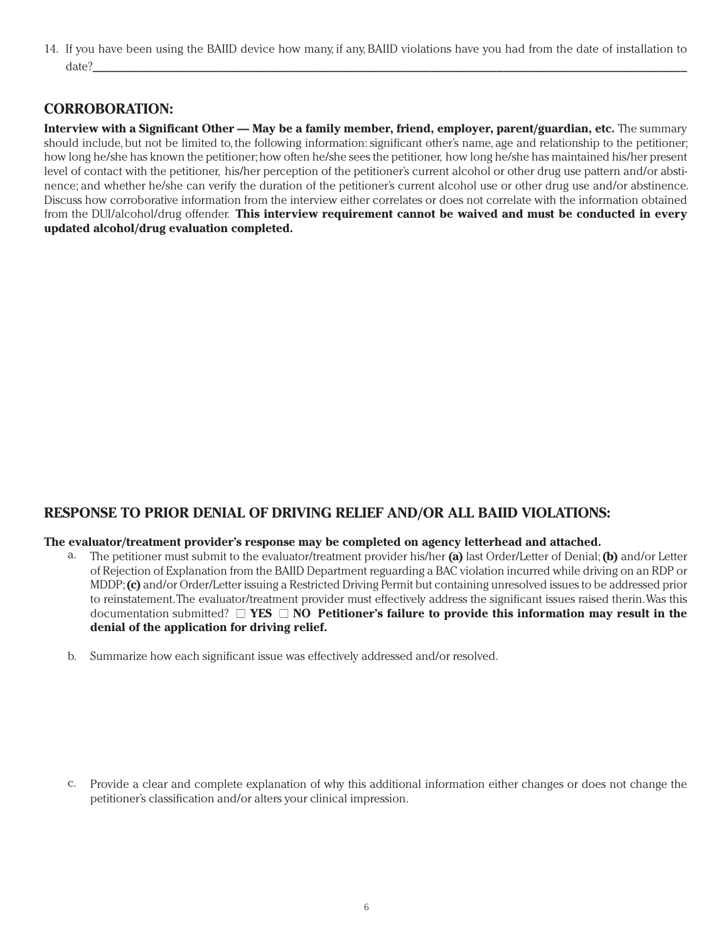14. If you have been using the BAIID device how many, if any, BAIID violations have you had from the date of installation to date?\_\_\_\_\_\_\_\_\_\_\_\_\_\_\_\_\_\_\_\_\_\_\_\_\_\_\_\_\_\_\_\_\_\_\_\_\_\_\_\_\_\_\_\_\_\_\_\_\_\_\_\_\_\_\_\_\_\_\_\_\_\_\_\_\_\_\_\_\_\_\_\_\_\_\_\_\_\_\_\_\_\_\_\_\_\_\_\_\_\_\_\_\_\_\_\_\_\_\_\_

## **CORROBORATION:**

**Interview with a Significant Other — May be a family member, friend, employer, parent/guardian, etc.** The summary should include, but not be limited to, the following information: significant other's name, age and relationship to the petitioner; how long he/she has known the petitioner; how often he/she sees the petitioner, how long he/she has maintained his/her present level of contact with the petitioner, his/her perception of the petitioner's current alcohol or other drug use pattern and/or abstinence; and whether he/she can verify the duration of the petitioner's current alcohol use or other drug use and/or abstinence. Discuss how corroborative information from the interview either correlates or does not correlate with the information obtained from the DUI/alcohol/drug offender. **This interview requirement cannot be waived and must be conducted in every updated alcohol/drug evaluation completed.**

## **RESPONSE TO PRIOR DENIAL OF DRIVING RELIEF AND/OR ALL BAIID VIOLATIONS:**

### **The evaluator/treatment provider's response may be completed on agency letterhead and attached.**

- The petitioner must submit to the evaluator/treatment provider his/her **(a)** last Order/Letter of Denial; **(b)** and/or Letter a. of Rejection of Explanation from the BAIID Department reguarding a BAC violation incurred while driving on an RDP or MDDP; **(c)** and/or Order/Letter issuing a Restricted Driving Permit but containing unresolved issues to be addressed prior to reinstatement. The evaluator/treatment provider must effectively address the significant issues raised therin. Was this documentation submitted? **■ YES ■ NO Petitioner's failure to provide this information may result in the denial of the application for driving relief.**
- b. Summarize how each significant issue was effectively addressed and/or resolved.

c. Provide a clear and complete explanation of why this additional information either changes or does not change the petitioner's classification and/or alters your clinical impression.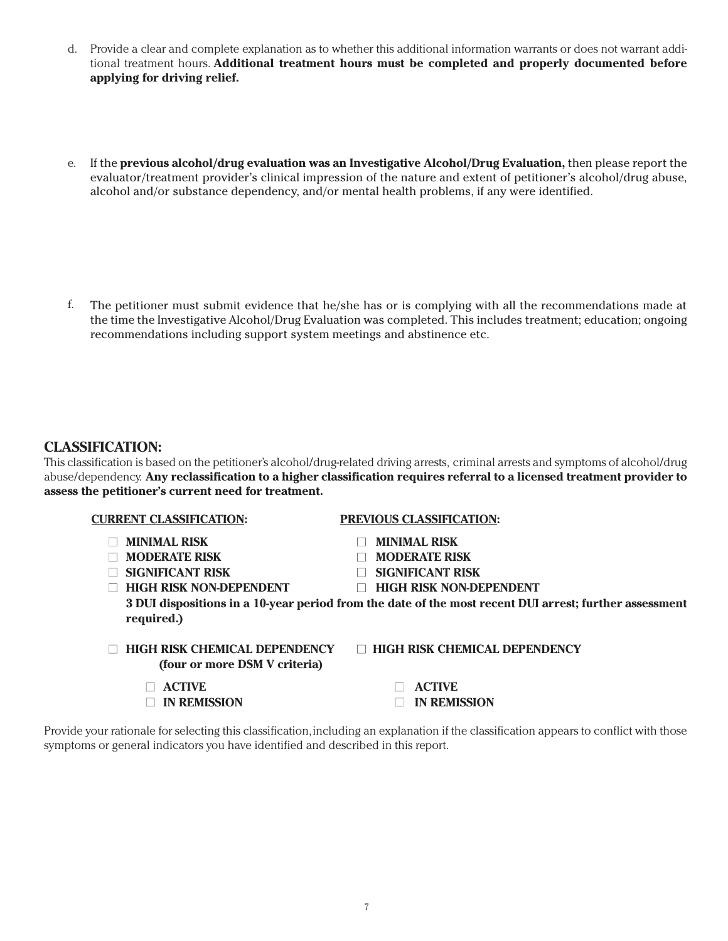- Provide a clear and complete explanation as to whether this additional information warrants or does not warrant addi-d. tional treatment hours. **Additional treatment hours must be completed and properly documented before applying for driving relief.**
- e. If the **previous alcohol/drug evaluation was an Investigative Alcohol/Drug Evaluation, then please report the** evaluator/treatment provider's clinical impression of the nature and extent of petitioner's alcohol/drug abuse, alcohol and/or substance dependency, and/or mental health problems, if any were identified.

The petitioner must submit evidence that he/she has or is complying with all the recommendations made at the time the Investigative Alcohol/Drug Evaluation was completed. This includes treatment; education; ongoing recommendations including support system meetings and abstinence etc. f.

## **CLASSIFICATION:**

This classification is based on the petitioner's alcohol/drug-related driving arrests, criminal arrests and symptoms of alcohol/drug abuse/dependency. **Any reclassification to a higher classification requires referral to a licensed treatment provider to assess the petitioner's current need for treatment.**

| <b>CURRENT CLASSIFICATION:</b>                                        | <b>PREVIOUS CLASSIFICATION:</b>                                                                        |
|-----------------------------------------------------------------------|--------------------------------------------------------------------------------------------------------|
| <b>MINIMAL RISK</b>                                                   | <b>MINIMAL RISK</b>                                                                                    |
| <b>MODERATE RISK</b>                                                  | <b>MODERATE RISK</b>                                                                                   |
| <b>SIGNIFICANT RISK</b>                                               | <b>SIGNIFICANT RISK</b>                                                                                |
| <b>HIGH RISK NON-DEPENDENT</b>                                        | <b>HIGH RISK NON-DEPENDENT</b>                                                                         |
| required.)                                                            | 3 DUI dispositions in a 10-year period from the date of the most recent DUI arrest; further assessment |
| <b>HIGH RISK CHEMICAL DEPENDENCY</b><br>(four or more DSM V criteria) | $\Box$ HIGH RISK CHEMICAL DEPENDENCY                                                                   |
| <b>ACTIVE</b>                                                         | <b>ACTIVE</b>                                                                                          |

Provide your rationale for selecting this classification, including an explanation if the classification appears to conflict with those symptoms or general indicators you have identified and described in this report.

**■ IN REMISSION ■ IN REMISSION**